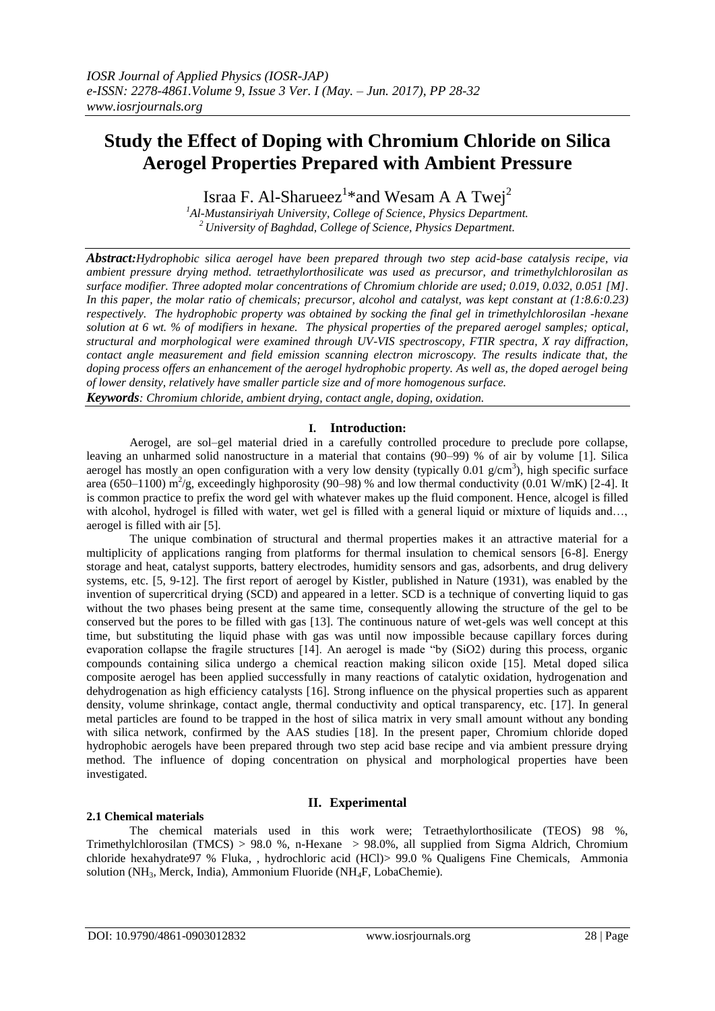# **Study the Effect of Doping with Chromium Chloride on Silica Aerogel Properties Prepared with Ambient Pressure**

Israa F. Al-Sharueez<sup>1</sup>\* and Wesam A A Twej<sup>2</sup>

*<sup>1</sup>Al-Mustansiriyah University, College of Science, Physics Department. <sup>2</sup>University of Baghdad, College of Science, Physics Department.*

*Abstract:Hydrophobic silica aerogel have been prepared through two step acid-base catalysis recipe, via ambient pressure drying method. tetraethylorthosilicate was used as precursor, and trimethylchlorosilan as surface modifier. Three adopted molar concentrations of Chromium chloride are used; 0.019, 0.032, 0.051 [M]. In this paper, the molar ratio of chemicals; precursor, alcohol and catalyst, was kept constant at (1:8.6:0.23) respectively. The hydrophobic property was obtained by socking the final gel in trimethylchlorosilan -hexane solution at 6 wt. % of modifiers in hexane. The physical properties of the prepared aerogel samples; optical, structural and morphological were examined through UV-VIS spectroscopy, FTIR spectra, X ray diffraction, contact angle measurement and field emission scanning electron microscopy. The results indicate that, the doping process offers an enhancement of the aerogel hydrophobic property. As well as, the doped aerogel being of lower density, relatively have smaller particle size and of more homogenous surface.*

*Keywords: Chromium chloride, ambient drying, contact angle, doping, oxidation.* 

## **I. Introduction:**

Aerogel, are sol–gel material dried in a carefully controlled procedure to preclude pore collapse, leaving an unharmed solid nanostructure in a material that contains (90–99) % of air by volume [1]. Silica aerogel has mostly an open configuration with a very low density (typically  $0.01$  g/cm<sup>3</sup>), high specific surface area (650–1100) m<sup>2</sup>/g, exceedingly highporosity (90–98) % and low thermal conductivity (0.01 W/mK) [2-4]. It is common practice to prefix the word gel with whatever makes up the fluid component. Hence, alcogel is filled with alcohol, hydrogel is filled with water, wet gel is filled with a general liquid or mixture of liquids and..., aerogel is filled with air [5].

The unique combination of structural and thermal properties makes it an attractive material for a multiplicity of applications ranging from platforms for thermal insulation to chemical sensors [6-8]. Energy storage and heat, catalyst supports, battery electrodes, humidity sensors and gas, adsorbents, and drug delivery systems, etc. [5, 9-12]. The first report of aerogel by Kistler, published in Nature (1931), was enabled by the invention of supercritical drying (SCD) and appeared in a letter. SCD is a technique of converting liquid to gas without the two phases being present at the same time, consequently allowing the structure of the gel to be conserved but the pores to be filled with gas [13]. The continuous nature of wet-gels was well concept at this time, but substituting the liquid phase with gas was until now impossible because capillary forces during evaporation collapse the fragile structures [14]. An aerogel is made "by (SiO2) during this process, organic compounds containing silica undergo a chemical reaction making silicon oxide [15]. Metal doped silica composite aerogel has been applied successfully in many reactions of catalytic oxidation, hydrogenation and dehydrogenation as high efficiency catalysts [16]. Strong influence on the physical properties such as apparent density, volume shrinkage, contact angle, thermal conductivity and optical transparency, etc. [17]. In general metal particles are found to be trapped in the host of silica matrix in very small amount without any bonding with silica network, confirmed by the AAS studies [18]. In the present paper, Chromium chloride doped hydrophobic aerogels have been prepared through two step acid base recipe and via ambient pressure drying method. The influence of doping concentration on physical and morphological properties have been investigated.

## **II. Experimental**

## **2.1 Chemical materials**

The chemical materials used in this work were; Tetraethylorthosilicate (TEOS) 98 %, Trimethylchlorosilan (TMCS) > 98.0 %, n-Hexane > 98.0%, all supplied from Sigma Aldrich, Chromium chloride hexahydrate97 % Fluka, , hydrochloric acid (HCl)> 99.0 % Qualigens Fine Chemicals, Ammonia solution (NH3, Merck, India), Ammonium Fluoride (NH4F, LobaChemie).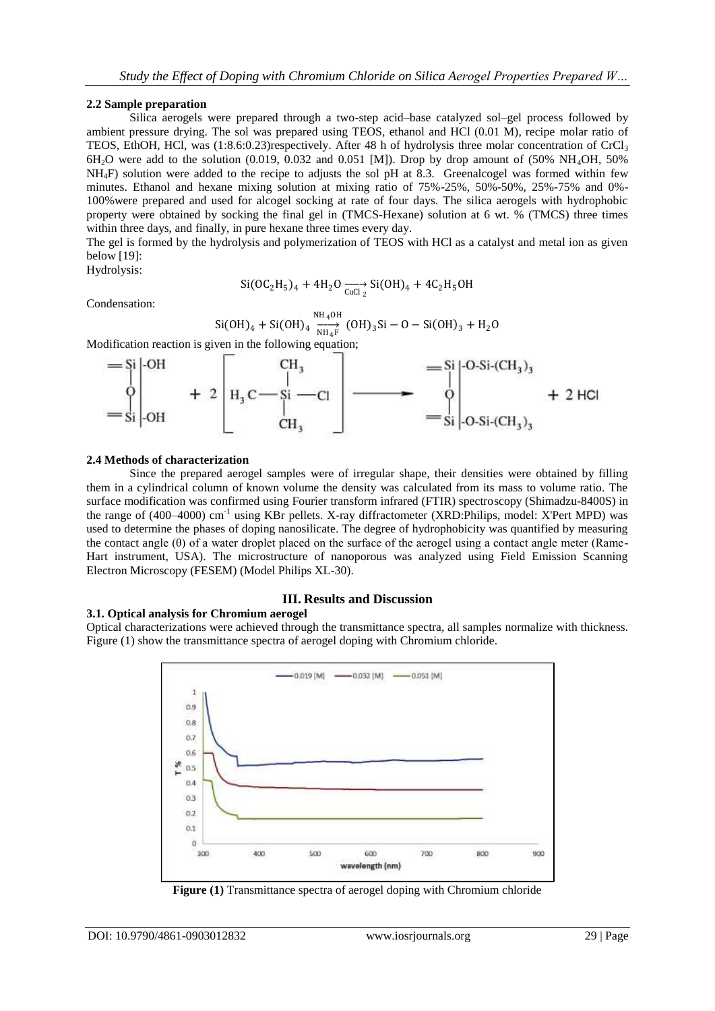#### **2.2 Sample preparation**

Silica aerogels were prepared through a two-step acid–base catalyzed sol–gel process followed by ambient pressure drying. The sol was prepared using TEOS, ethanol and HCl (0.01 M), recipe molar ratio of TEOS, EthOH, HCl, was  $(1:8.6:0.23)$ respectively. After 48 h of hydrolysis three molar concentration of CrCl<sub>3</sub>  $6H<sub>2</sub>O$  were add to the solution (0.019, 0.032 and 0.051 [M]). Drop by drop amount of (50% NH<sub>4</sub>OH, 50%) NH4F) solution were added to the recipe to adjusts the sol pH at 8.3. Greenalcogel was formed within few minutes. Ethanol and hexane mixing solution at mixing ratio of 75%-25%, 50%-50%, 25%-75% and 0%- 100%were prepared and used for alcogel socking at rate of four days. The silica aerogels with hydrophobic property were obtained by socking the final gel in (TMCS-Hexane) solution at 6 wt. % (TMCS) three times within three days, and finally, in pure hexane three times every day.

The gel is formed by the hydrolysis and polymerization of TEOS with HCl as a catalyst and metal ion as given below [19]:

Hydrolysis:

$$
Si(OC_2H_5)_4 + 4H_2O \xrightarrow{CuCl_2} Si(OH)_4 + 4C_2H_5OH
$$

Condensation:

$$
Si(OH)_4 + Si(OH)_4 \frac{NH_4OH}{NH_4F} (OH)_3Si - O - Si(OH)_3 + H_2O
$$

Modification reaction is given in the following equation;



#### **2.4 Methods of characterization**

Since the prepared aerogel samples were of irregular shape, their densities were obtained by filling them in a cylindrical column of known volume the density was calculated from its mass to volume ratio. The surface modification was confirmed using Fourier transform infrared (FTIR) spectroscopy (Shimadzu-8400S) in the range of (400–4000) cm<sup>-1</sup> using KBr pellets. X-ray diffractometer (XRD:Philips, model: X'Pert MPD) was used to determine the phases of doping nanosilicate. The degree of hydrophobicity was quantified by measuring the contact angle (θ) of a water droplet placed on the surface of the aerogel using a contact angle meter (Rame-Hart instrument, USA). The microstructure of nanoporous was analyzed using Field Emission Scanning Electron Microscopy (FESEM) (Model Philips XL-30).

#### **III. Results and Discussion 3.1. Optical analysis for Chromium aerogel**

Optical characterizations were achieved through the transmittance spectra, all samples normalize with thickness. Figure (1) show the transmittance spectra of aerogel doping with Chromium chloride.



**Figure (1)** Transmittance spectra of aerogel doping with Chromium chloride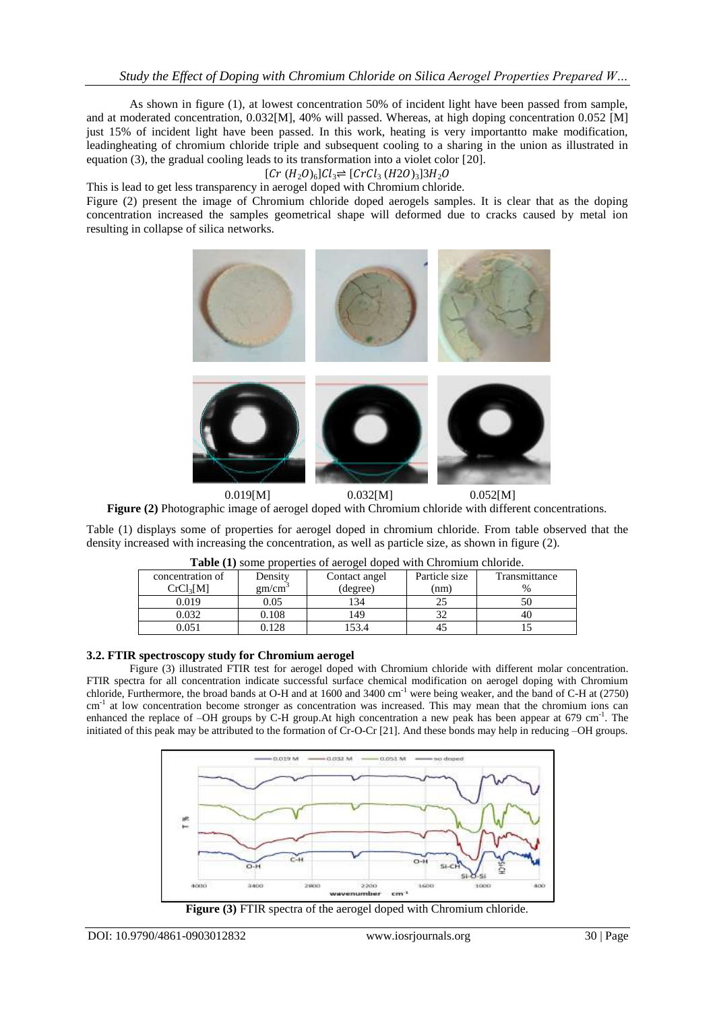As shown in figure (1), at lowest concentration 50% of incident light have been passed from sample, and at moderated concentration, 0.032[M], 40% will passed. Whereas, at high doping concentration 0.052 [M] just 15% of incident light have been passed. In this work, heating is very importantto make modification, leadingheating of chromium chloride triple and subsequent cooling to a sharing in the union as illustrated in equation (3), the gradual cooling leads to its transformation into a violet color [20].

 $[Cr(H<sub>2</sub>O)<sub>6</sub>]Cl<sub>3</sub> \rightleftharpoons [CrCl<sub>3</sub>(H2O)<sub>3</sub>]3H<sub>2</sub>O$ 

This is lead to get less transparency in aerogel doped with Chromium chloride.

Figure (2) present the image of Chromium chloride doped aerogels samples. It is clear that as the doping concentration increased the samples geometrical shape will deformed due to cracks caused by metal ion resulting in collapse of silica networks.



0.019[M] 0.032[M] 0.052[M] **Figure (2)** Photographic image of aerogel doped with Chromium chloride with different concentrations.

Table (1) displays some of properties for aerogel doped in chromium chloride. From table observed that the density increased with increasing the concentration, as well as particle size, as shown in figure (2).

| <b>Table</b> (1) some properties of acroger doped with embiniting emorge. |                  |               |               |               |
|---------------------------------------------------------------------------|------------------|---------------|---------------|---------------|
| concentration of                                                          | Density          | Contact angel | Particle size | Transmittance |
| CrCl <sub>3</sub> [M]                                                     | $\text{cm/cm}^3$ | (degree)      | nm)           | $\frac{0}{0}$ |
| 0.019                                                                     | 0.05             | .34           |               |               |
| 0.032                                                                     | 0.108            | 149           |               | 40            |
| 0.051                                                                     | .128             | .53.4         |               |               |

**Table (1)** some properties of aerogel doped with Chromium chloride.

### **3.2. FTIR spectroscopy study for Chromium aerogel**

Figure (3) illustrated FTIR test for aerogel doped with Chromium chloride with different molar concentration. FTIR spectra for all concentration indicate successful surface chemical modification on aerogel doping with Chromium chloride, Furthermore, the broad bands at O-H and at 1600 and 3400 cm-1 were being weaker, and the band of C-H at (2750) cm<sup>-1</sup> at low concentration become stronger as concentration was increased. This may mean that the chromium ions can enhanced the replace of  $-OH$  groups by C-H group. At high concentration a new peak has been appear at 679 cm<sup>-1</sup>. The initiated of this peak may be attributed to the formation of Cr-O-Cr [21]. And these bonds may help in reducing –OH groups.



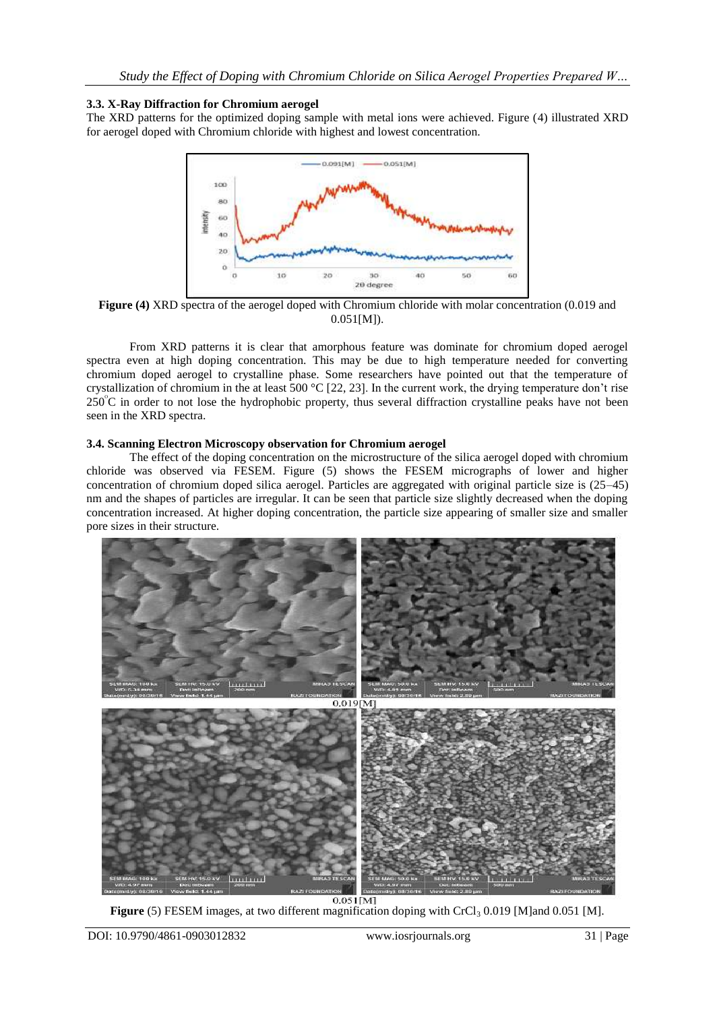## **3.3. X-Ray Diffraction for Chromium aerogel**

The XRD patterns for the optimized doping sample with metal ions were achieved. Figure (4) illustrated XRD for aerogel doped with Chromium chloride with highest and lowest concentration.



**Figure (4)** XRD spectra of the aerogel doped with Chromium chloride with molar concentration (0.019 and 0.051[M]).

From XRD patterns it is clear that amorphous feature was dominate for chromium doped aerogel spectra even at high doping concentration. This may be due to high temperature needed for converting chromium doped aerogel to crystalline phase. Some researchers have pointed out that the temperature of crystallization of chromium in the at least 500 °C [22, 23]. In the current work, the drying temperature don't rise  $250^{\circ}$ C in order to not lose the hydrophobic property, thus several diffraction crystalline peaks have not been seen in the XRD spectra.

## **3.4. Scanning Electron Microscopy observation for Chromium aerogel**

The effect of the doping concentration on the microstructure of the silica aerogel doped with chromium chloride was observed via FESEM. Figure (5) shows the FESEM micrographs of lower and higher concentration of chromium doped silica aerogel. Particles are aggregated with original particle size is (25–45) nm and the shapes of particles are irregular. It can be seen that particle size slightly decreased when the doping concentration increased. At higher doping concentration, the particle size appearing of smaller size and smaller pore sizes in their structure.



Figure (5) FESEM images, at two different magnification doping with CrCl<sub>3</sub> 0.019 [M]and 0.051 [M].